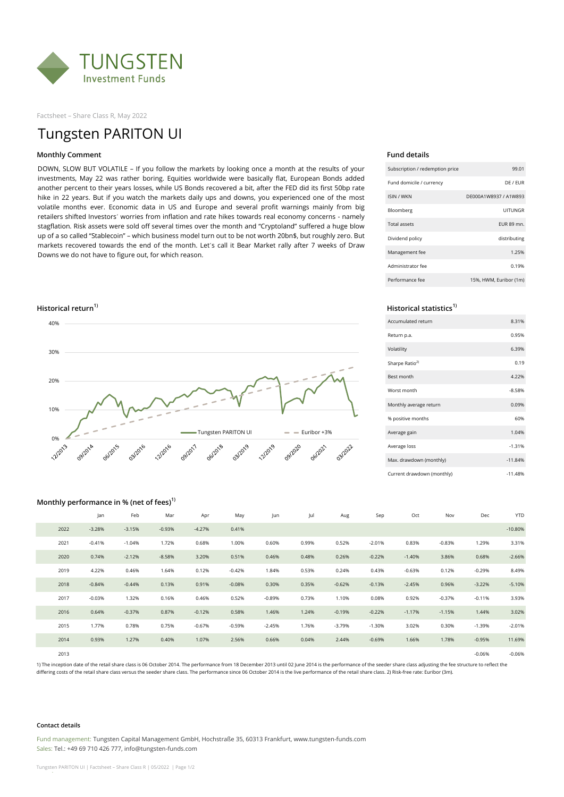

Factsheet – Share Class R, May 2022

# Tungsten PARITON UI

## **Monthly Comment Fund details**

DOWN, SLOW BUT VOLATILE – If you follow the markets by looking once a month at the results of your investments, May 22 was rather boring. Equities worldwide were basically flat, European Bonds added another percent to their years losses, while US Bonds recovered a bit, after the FED did its first 50bp rate hike in 22 years. But if you watch the markets daily ups and downs, you experienced one of the most volatile months ever. Economic data in US and Europe and several profit warnings mainly from big retailers shifted Investors´ worries from inflation and rate hikes towards real economy concerns - namely stagflation. Risk assets were sold off several times over the month and "Cryptoland" suffered a huge blow up of a so called "Stablecoin" – which business model turn out to be not worth 20bn\$, but roughly zero. But markets recovered towards the end of the month. Let´s call it Bear Market rally after 7 weeks of Draw Downs we do not have to figure out, for which reason.



| Subscription / redemption price | 99.01                  |
|---------------------------------|------------------------|
| Fund domicile / currency        | DF / FUR               |
| <b>ISIN / WKN</b>               | DF000A1W8937 / A1W893  |
| Bloomberg                       | UITUNGR                |
| <b>Total assets</b>             | FUR 89 mn.             |
| Dividend policy                 | distributing           |
| Management fee                  | 1.25%                  |
| Administrator fee               | 0.19%                  |
| Performance fee                 | 15%, HWM, Euribor (1m) |

# **Historical return1) Historical statistics1)**

| Accumulated return         | 8.31%     |
|----------------------------|-----------|
| Return p.a.                | 0.95%     |
| Volatility                 | 6.39%     |
| Sharpe Ratio <sup>2)</sup> | 0.19      |
| <b>Best month</b>          | 4.22%     |
| Worst month                | $-8.58%$  |
| Monthly average return     | 0.09%     |
| % positive months          | 60%       |
| Average gain               | 1.04%     |
| Average loss               | $-1.31%$  |
| Max. drawdown (monthly)    | $-11.84%$ |
| Current drawdown (monthly) | $-11.48%$ |

### **Monthly performance in % (net of fees)1)**

| <b>YTD</b> | Dec      | Nov      | Oct      | Sep      | Aug      | Jul   | Jun      | May      | Apr      | Mar      | Feb      | lan      |      |
|------------|----------|----------|----------|----------|----------|-------|----------|----------|----------|----------|----------|----------|------|
| $-10.80%$  |          |          |          |          |          |       |          | 0.41%    | $-4.27%$ | $-0.93%$ | $-3.15%$ | $-3.28%$ | 2022 |
| 3.31%      | 1.29%    | $-0.83%$ | 0.83%    | $-2.01%$ | 0.52%    | 0.99% | 0.60%    | 1.00%    | 0.68%    | 1.72%    | $-1.04%$ | $-0.41%$ | 2021 |
| $-2.66%$   | 0.68%    | 3.86%    | $-1.40%$ | $-0.22%$ | 0.26%    | 0.48% | 0.46%    | 0.51%    | 3.20%    | $-8.58%$ | $-2.12%$ | 0.74%    | 2020 |
| 8.49%      | $-0.29%$ | 0.12%    | $-0.63%$ | 0.43%    | 0.24%    | 0.53% | 1.84%    | $-0.42%$ | 0.12%    | 1.64%    | 0.46%    | 4.22%    | 2019 |
| $-5.10%$   | $-3.22%$ | 0.96%    | $-2.45%$ | $-0.13%$ | $-0.62%$ | 0.35% | 0.30%    | $-0.08%$ | 0.91%    | 0.13%    | $-0.44%$ | $-0.84%$ | 2018 |
| 3.93%      | $-0.11%$ | $-0.37%$ | 0.92%    | 0.08%    | 1.10%    | 0.73% | $-0.89%$ | 0.52%    | 0.46%    | 0.16%    | 1.32%    | $-0.03%$ | 2017 |
| 3.02%      | 1.44%    | $-1.15%$ | $-1.17%$ | $-0.22%$ | $-0.19%$ | 1.24% | 1.46%    | 0.58%    | $-0.12%$ | 0.87%    | $-0.37%$ | 0.64%    | 2016 |
| $-2.01%$   | $-1.39%$ | 0.30%    | 3.02%    | $-1.30%$ | $-3.79%$ | 1.76% | $-2.45%$ | $-0.59%$ | $-0.67%$ | 0.75%    | 0.78%    | 1.77%    | 2015 |
| 11.69%     | $-0.95%$ | 1.78%    | 1.66%    | $-0.69%$ | 2.44%    | 0.04% | 0.66%    | 2.56%    | 1.07%    | 0.40%    | 1.27%    | 0.93%    | 2014 |
| $-0.06%$   | $-0.06%$ |          |          |          |          |       |          |          |          |          |          |          | 2013 |

1) The inception date of the retail share class is 06 October 2014. The performance from 18 December 2013 until 02 June 2014 is the performance of the seeder share class adjusting the fee structure to reflect the differing costs of the retail share class versus the seeder share class. The performance since 06 October 2014 is the live performance of the retail share class. 2) Risk-free rate: Euribor (3m).

### **Contact details**

Fund management: Tungsten Capital Management GmbH, Hochstraße 35, 60313 Frankfurt, www.tungsten-funds.com Sales: Tel.: +49 69 710 426 777, info@tungsten-funds.com